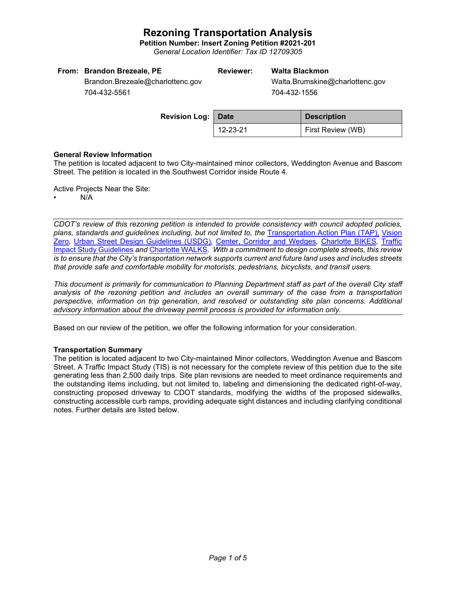**Petition Number: Insert Zoning Petition #2021-201**

*General Location Identifier: Tax ID 12709305*

| From: Brandon Brezeale, PE       | <b>Reviewer:</b> | Walta Blackmon                  |
|----------------------------------|------------------|---------------------------------|
| Brandon.Brezeale@charlottenc.gov |                  | Walta.Brumskine@charlottenc.gov |

704-432-5561

704-432-1556

| <b>Revision Log: Date</b> |          | <b>Description</b> |  |
|---------------------------|----------|--------------------|--|
|                           | 12-23-21 | First Review (WB)  |  |

## **General Review Information**

The petition is located adjacent to two City-maintained minor collectors, Weddington Avenue and Bascom Street. The petition is located in the Southwest Corridor inside Route 4.

Active Projects Near the Site:

• N/A

*CDOT's review of this rezoning petition is intended to provide consistency with council adopted policies, plans, standards and guidelines including, but not limited to, the* [Transportation Action Plan \(TAP\),](https://charlottenc.gov/Transportation/Programs/Pages/TransportationActionPlan.aspx) [Vision](https://charlottenc.gov/VisionZero/Pages/VisionZero.aspx)  [Zero](https://charlottenc.gov/VisionZero/Pages/VisionZero.aspx)*,* [Urban Street Design Guidelines \(USDG\)](https://charlottenc.gov/Transportation/PlansProjects/Documents/USDG%20Full%20Document.pdf)*,* [Center, Corridor and Wedges](http://ww.charmeck.org/Planning/Land%20Use%20Planning/CentersCorridorsWedges/CentersCorridorsWedges(Adopted).pdf)*,* [Charlotte BIKES](https://charlottenc.gov/Transportation/Programs/Pages/Bicycle.aspx)*,* [Traffic](https://charlottenc.gov/Transportation/Permits/Documents/TISProcessandGuildlines.pdf)  [Impact Study Guidelines](https://charlottenc.gov/Transportation/Permits/Documents/TISProcessandGuildlines.pdf) *and* [Charlotte WALKS](https://charlottenc.gov/Transportation/Programs/Pages/CharlotteWalks.aspx)*. With a commitment to design complete streets, this review is to ensure that the City's transportation network supports current and future land uses and includes streets that provide safe and comfortable mobility for motorists, pedestrians, bicyclists, and transit users.*

*This document is primarily for communication to Planning Department staff as part of the overall City staff analysis of the rezoning petition and includes an overall summary of the case from a transportation perspective, information on trip generation, and resolved or outstanding site plan concerns. Additional advisory information about the driveway permit process is provided for information only.*

Based on our review of the petition, we offer the following information for your consideration.

## **Transportation Summary**

The petition is located adjacent to two City-maintained Minor collectors, Weddington Avenue and Bascom Street. A Traffic Impact Study (TIS) is not necessary for the complete review of this petition due to the site generating less than 2,500 daily trips. Site plan revisions are needed to meet ordinance requirements and the outstanding items including, but not limited to, labeling and dimensioning the dedicated right-of-way, constructing proposed driveway to CDOT standards, modifying the widths of the proposed sidewalks, constructing accessible curb ramps, providing adequate sight distances and including clarifying conditional notes. Further details are listed below.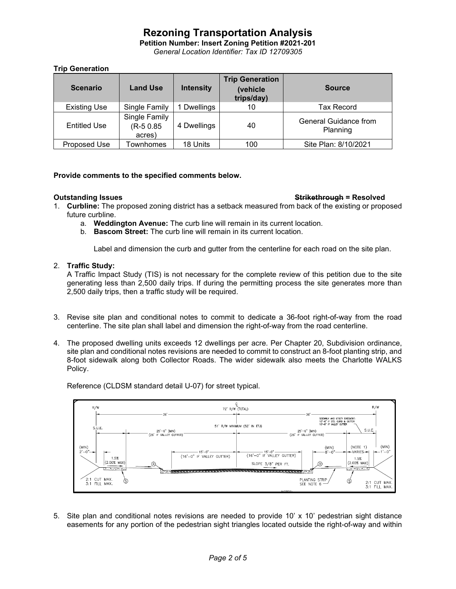**Petition Number: Insert Zoning Petition #2021-201** *General Location Identifier: Tax ID 12709305*

## **Trip Generation**

| <b>Scenario</b>     | <b>Land Use</b>                      | <b>Intensity</b> | <b>Trip Generation</b><br>(vehicle<br>trips/day) | <b>Source</b>                     |
|---------------------|--------------------------------------|------------------|--------------------------------------------------|-----------------------------------|
| <b>Existing Use</b> | Single Family                        | 1 Dwellings      | 10                                               | <b>Tax Record</b>                 |
| <b>Entitled Use</b> | Single Family<br>(R-5 0.85<br>acres) | 4 Dwellings      | 40                                               | General Guidance from<br>Planning |
| Proposed Use        | <b>Townhomes</b>                     | 18 Units         | 100                                              | Site Plan: 8/10/2021              |

## **Provide comments to the specified comments below.**

### **Outstanding Issues Strikethrough = Resolved**

- 1. **Curbline:** The proposed zoning district has a setback measured from back of the existing or proposed future curbline.
	- a. **Weddington Avenue:** The curb line will remain in its current location.
	- b. **Bascom Street:** The curb line will remain in its current location.

Label and dimension the curb and gutter from the centerline for each road on the site plan.

## 2. **Traffic Study:**

A Traffic Impact Study (TIS) is not necessary for the complete review of this petition due to the site generating less than 2,500 daily trips. If during the permitting process the site generates more than 2,500 daily trips, then a traffic study will be required.

- 3. Revise site plan and conditional notes to commit to dedicate a 36-foot right-of-way from the road centerline. The site plan shall label and dimension the right-of-way from the road centerline.
- 4. The proposed dwelling units exceeds 12 dwellings per acre. Per Chapter 20, Subdivision ordinance, site plan and conditional notes revisions are needed to commit to construct an 8-foot planting strip, and 8-foot sidewalk along both Collector Roads. The wider sidewalk also meets the Charlotte WALKS Policy.





5. Site plan and conditional notes revisions are needed to provide 10' x 10' pedestrian sight distance easements for any portion of the pedestrian sight triangles located outside the right-of-way and within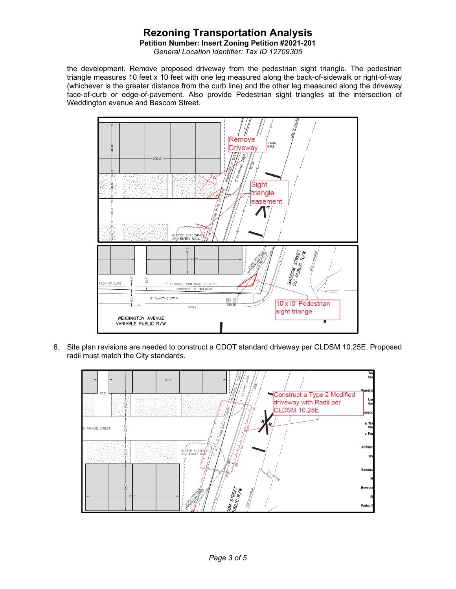**Petition Number: Insert Zoning Petition #2021-201**

*General Location Identifier: Tax ID 12709305*

the development. Remove proposed driveway from the pedestrian sight triangle. The pedestrian triangle measures 10 feet x 10 feet with one leg measured along the back-of-sidewalk or right-of-way (whichever is the greater distance from the curb line) and the other leg measured along the driveway face-of-curb or edge-of-pavement. Also provide Pedestrian sight triangles at the intersection of Weddington avenue and Bascom Street.



6. Site plan revisions are needed to construct a CDOT standard driveway per CLDSM 10.25E. Proposed radii must match the City standards.

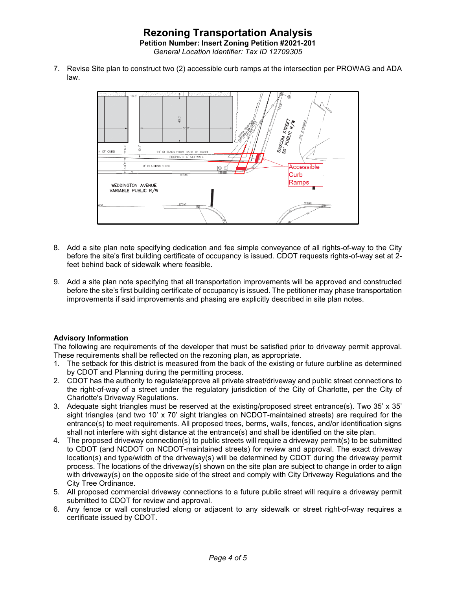7. Revise Site plan to construct two (2) accessible curb ramps at the intersection per PROWAG and ADA law.



- 8. Add a site plan note specifying dedication and fee simple conveyance of all rights-of-way to the City before the site's first building certificate of occupancy is issued. CDOT requests rights-of-way set at 2 feet behind back of sidewalk where feasible.
- 9. Add a site plan note specifying that all transportation improvements will be approved and constructed before the site's first building certificate of occupancy is issued. The petitioner may phase transportation improvements if said improvements and phasing are explicitly described in site plan notes.

## **Advisory Information**

The following are requirements of the developer that must be satisfied prior to driveway permit approval. These requirements shall be reflected on the rezoning plan, as appropriate.

- 1. The setback for this district is measured from the back of the existing or future curbline as determined by CDOT and Planning during the permitting process.
- 2. CDOT has the authority to regulate/approve all private street/driveway and public street connections to the right-of-way of a street under the regulatory jurisdiction of the City of Charlotte, per the City of Charlotte's Driveway Regulations.
- 3. Adequate sight triangles must be reserved at the existing/proposed street entrance(s). Two 35' x 35' sight triangles (and two 10' x 70' sight triangles on NCDOT-maintained streets) are required for the entrance(s) to meet requirements. All proposed trees, berms, walls, fences, and/or identification signs shall not interfere with sight distance at the entrance(s) and shall be identified on the site plan.
- 4. The proposed driveway connection(s) to public streets will require a driveway permit(s) to be submitted to CDOT (and NCDOT on NCDOT-maintained streets) for review and approval. The exact driveway location(s) and type/width of the driveway(s) will be determined by CDOT during the driveway permit process. The locations of the driveway(s) shown on the site plan are subject to change in order to align with driveway(s) on the opposite side of the street and comply with City Driveway Regulations and the City Tree Ordinance.
- 5. All proposed commercial driveway connections to a future public street will require a driveway permit submitted to CDOT for review and approval.
- 6. Any fence or wall constructed along or adjacent to any sidewalk or street right-of-way requires a certificate issued by CDOT.